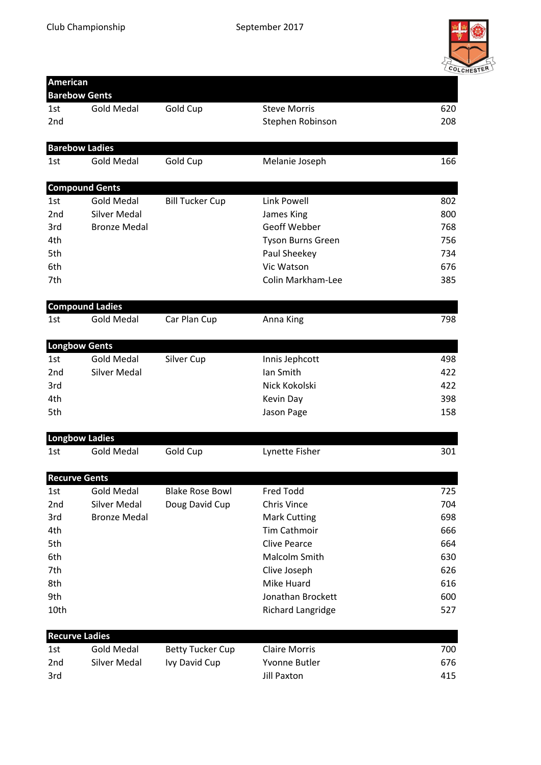

| <b>American</b> |                        |                         |                          |     |  |
|-----------------|------------------------|-------------------------|--------------------------|-----|--|
|                 | <b>Barebow Gents</b>   |                         |                          |     |  |
| 1st             | <b>Gold Medal</b>      | Gold Cup                | <b>Steve Morris</b>      | 620 |  |
| 2nd             |                        |                         | Stephen Robinson         | 208 |  |
|                 | <b>Barebow Ladies</b>  |                         |                          |     |  |
| 1st             | <b>Gold Medal</b>      | Gold Cup                | Melanie Joseph           | 166 |  |
|                 | <b>Compound Gents</b>  |                         |                          |     |  |
| 1st             | <b>Gold Medal</b>      | <b>Bill Tucker Cup</b>  | <b>Link Powell</b>       | 802 |  |
| 2nd             | <b>Silver Medal</b>    |                         | James King               | 800 |  |
| 3rd             | <b>Bronze Medal</b>    |                         | Geoff Webber             | 768 |  |
| 4th             |                        |                         | <b>Tyson Burns Green</b> | 756 |  |
| 5th             |                        |                         | Paul Sheekey             | 734 |  |
| 6th             |                        |                         | Vic Watson               | 676 |  |
| 7th             |                        |                         | Colin Markham-Lee        | 385 |  |
|                 | <b>Compound Ladies</b> |                         |                          |     |  |
| 1st             | <b>Gold Medal</b>      | Car Plan Cup            | Anna King                | 798 |  |
|                 | <b>Longbow Gents</b>   |                         |                          |     |  |
| 1st             | <b>Gold Medal</b>      | Silver Cup              | Innis Jephcott           | 498 |  |
| 2nd             | <b>Silver Medal</b>    |                         | Ian Smith                | 422 |  |
| 3rd             |                        |                         | Nick Kokolski            | 422 |  |
| 4th             |                        |                         | Kevin Day                | 398 |  |
| 5th             |                        |                         | Jason Page               | 158 |  |
|                 | <b>Longbow Ladies</b>  |                         |                          |     |  |
| 1st             | <b>Gold Medal</b>      | Gold Cup                | Lynette Fisher           | 301 |  |
|                 | <b>Recurve Gents</b>   |                         |                          |     |  |
| 1st             | Gold Medal             | <b>Blake Rose Bowl</b>  | Fred Todd                | 725 |  |
| 2nd             | <b>Silver Medal</b>    | Doug David Cup          | Chris Vince              | 704 |  |
| 3rd             | <b>Bronze Medal</b>    |                         | <b>Mark Cutting</b>      | 698 |  |
| 4th             |                        |                         | Tim Cathmoir             | 666 |  |
| 5th             |                        |                         | <b>Clive Pearce</b>      | 664 |  |
| 6th             |                        |                         | Malcolm Smith            | 630 |  |
| 7th             |                        |                         | Clive Joseph             | 626 |  |
| 8th             |                        |                         | Mike Huard               | 616 |  |
| 9th             |                        |                         | Jonathan Brockett        | 600 |  |
| 10th            |                        |                         | <b>Richard Langridge</b> | 527 |  |
|                 | <b>Recurve Ladies</b>  |                         |                          |     |  |
| 1st             | <b>Gold Medal</b>      | <b>Betty Tucker Cup</b> | <b>Claire Morris</b>     | 700 |  |
| 2nd             | <b>Silver Medal</b>    | Ivy David Cup           | Yvonne Butler            | 676 |  |
| 3rd             |                        |                         | <b>Jill Paxton</b>       | 415 |  |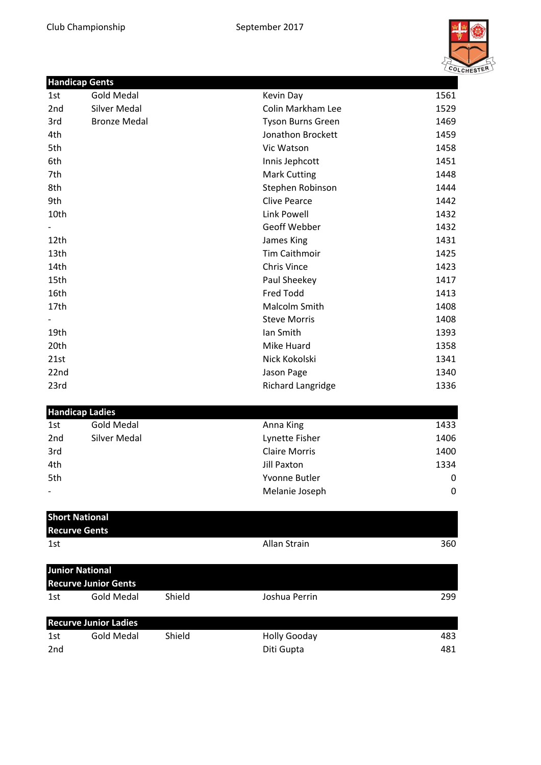

|      | <b>Handicap Gents</b>       |        |                          |      |
|------|-----------------------------|--------|--------------------------|------|
| 1st  | <b>Gold Medal</b>           |        | Kevin Day                | 1561 |
| 2nd  | <b>Silver Medal</b>         |        | Colin Markham Lee        | 1529 |
| 3rd  | <b>Bronze Medal</b>         |        | <b>Tyson Burns Green</b> | 1469 |
| 4th  |                             |        | Jonathon Brockett        | 1459 |
| 5th  |                             |        | Vic Watson               | 1458 |
| 6th  |                             |        | Innis Jephcott           | 1451 |
| 7th  |                             |        | <b>Mark Cutting</b>      | 1448 |
| 8th  |                             |        | Stephen Robinson         | 1444 |
| 9th  |                             |        | <b>Clive Pearce</b>      | 1442 |
| 10th |                             |        | <b>Link Powell</b>       | 1432 |
|      |                             |        | Geoff Webber             | 1432 |
| 12th |                             |        | James King               | 1431 |
| 13th |                             |        | <b>Tim Caithmoir</b>     | 1425 |
| 14th |                             |        | <b>Chris Vince</b>       | 1423 |
| 15th |                             |        | Paul Sheekey             | 1417 |
| 16th |                             |        | Fred Todd                | 1413 |
| 17th |                             |        | Malcolm Smith            | 1408 |
|      |                             |        | <b>Steve Morris</b>      | 1408 |
| 19th |                             |        | Ian Smith                | 1393 |
| 20th |                             |        | Mike Huard               | 1358 |
| 21st |                             |        | Nick Kokolski            | 1341 |
| 22nd |                             |        | Jason Page               | 1340 |
| 23rd |                             |        | Richard Langridge        | 1336 |
|      | <b>Handicap Ladies</b>      |        |                          |      |
| 1st  | <b>Gold Medal</b>           |        | Anna King                | 1433 |
| 2nd  | <b>Silver Medal</b>         |        | Lynette Fisher           | 1406 |
| 3rd  |                             |        | <b>Claire Morris</b>     | 1400 |
| 4th  |                             |        | <b>Jill Paxton</b>       | 1334 |
| 5th  |                             |        | Yvonne Butler            | 0    |
|      |                             |        | Melanie Joseph           | 0    |
|      | <b>Short National</b>       |        |                          |      |
|      | <b>Recurve Gents</b>        |        |                          |      |
| 1st  |                             |        | Allan Strain             | 360  |
|      | <b>Junior National</b>      |        |                          |      |
|      | <b>Recurve Junior Gents</b> |        |                          |      |
| 1st  | <b>Gold Medal</b>           | Shield | Joshua Perrin            | 299  |

| <b>Recurve Junior Ladies</b> |            |        |              |     |
|------------------------------|------------|--------|--------------|-----|
| 1st                          | Gold Medal | Shield | Holly Gooday | 483 |
| 2nd                          |            |        | Diti Gupta   | 481 |